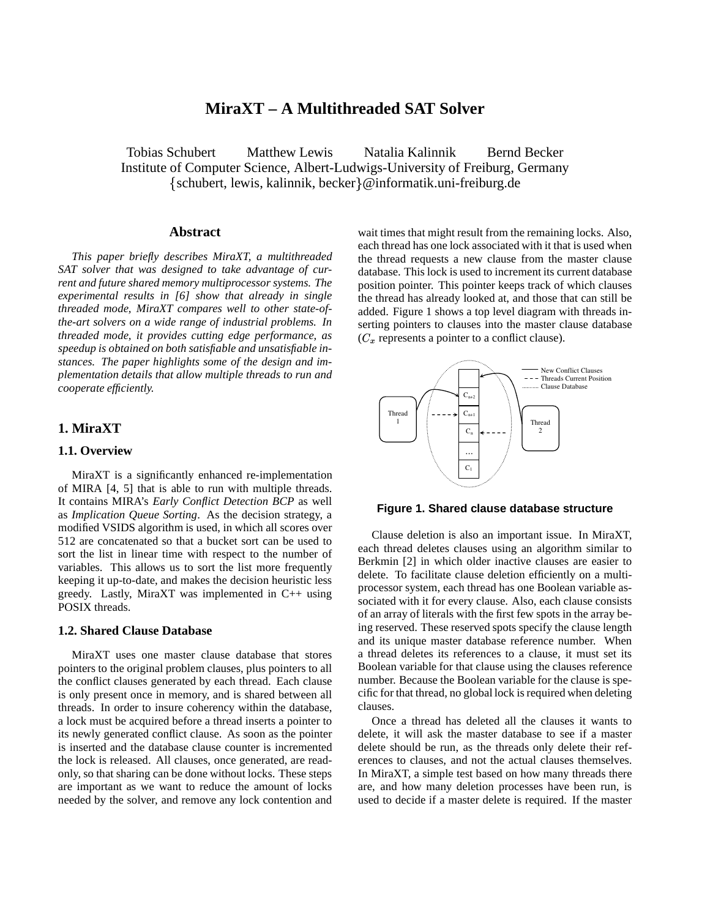# **MiraXT – A Multithreaded SAT Solver**

Tobias Schubert Matthew Lewis Natalia Kalinnik Bernd Becker Institute of Computer Science, Albert-Ludwigs-University of Freiburg, Germany schubert, lewis, kalinnik, becker@informatik.uni-freiburg.de

#### **Abstract**

*This paper briefly describes MiraXT, a multithreaded SAT solver that was designed to take advantage of current and future shared memory multiprocessor systems. The experimental results in [6] show that already in single threaded mode, MiraXT compares well to other state-ofthe-art solvers on a wide range of industrial problems. In threaded mode, it provides cutting edge performance, as speedup is obtained on both satisfiable and unsatisfiable instances. The paper highlights some of the design and implementation details that allow multiple threads to run and cooperate efficiently.*

# **1. MiraXT**

# **1.1. Overview**

MiraXT is a significantly enhanced re-implementation of MIRA [4, 5] that is able to run with multiple threads. It contains MIRA's *Early Conflict Detection BCP* as well as *Implication Queue Sorting*. As the decision strategy, a modified VSIDS algorithm is used, in which all scores over 512 are concatenated so that a bucket sort can be used to sort the list in linear time with respect to the number of variables. This allows us to sort the list more frequently keeping it up-to-date, and makes the decision heuristic less greedy. Lastly, MiraXT was implemented in C++ using POSIX threads.

# **1.2. Shared Clause Database**

MiraXT uses one master clause database that stores pointers to the original problem clauses, plus pointers to all the conflict clauses generated by each thread. Each clause is only present once in memory, and is shared between all threads. In order to insure coherency within the database, a lock must be acquired before a thread inserts a pointer to its newly generated conflict clause. As soon as the pointer is inserted and the database clause counter is incremented the lock is released. All clauses, once generated, are readonly, so that sharing can be done without locks. These steps are important as we want to reduce the amount of locks needed by the solver, and remove any lock contention and wait times that might result from the remaining locks. Also, each thread has one lock associated with it that is used when the thread requests a new clause from the master clause database. This lock is used to increment its current database position pointer. This pointer keeps track of which clauses the thread has already looked at, and those that can still be added. Figure 1 shows a top level diagram with threads inserting pointers to clauses into the master clause database  $(C_x$  represents a pointer to a conflict clause).



#### **Figure 1. Shared clause database structure**

Clause deletion is also an important issue. In MiraXT, each thread deletes clauses using an algorithm similar to Berkmin [2] in which older inactive clauses are easier to delete. To facilitate clause deletion efficiently on a multiprocessor system, each thread has one Boolean variable associated with it for every clause. Also, each clause consists of an array of literals with the first few spots in the array being reserved. These reserved spots specify the clause length and its unique master database reference number. When a thread deletes its references to a clause, it must set its Boolean variable for that clause using the clauses reference number. Because the Boolean variable for the clause is specific for that thread, no global lock is required when deleting clauses.

Once a thread has deleted all the clauses it wants to delete, it will ask the master database to see if a master delete should be run, as the threads only delete their references to clauses, and not the actual clauses themselves. In MiraXT, a simple test based on how many threads there are, and how many deletion processes have been run, is used to decide if a master delete is required. If the master